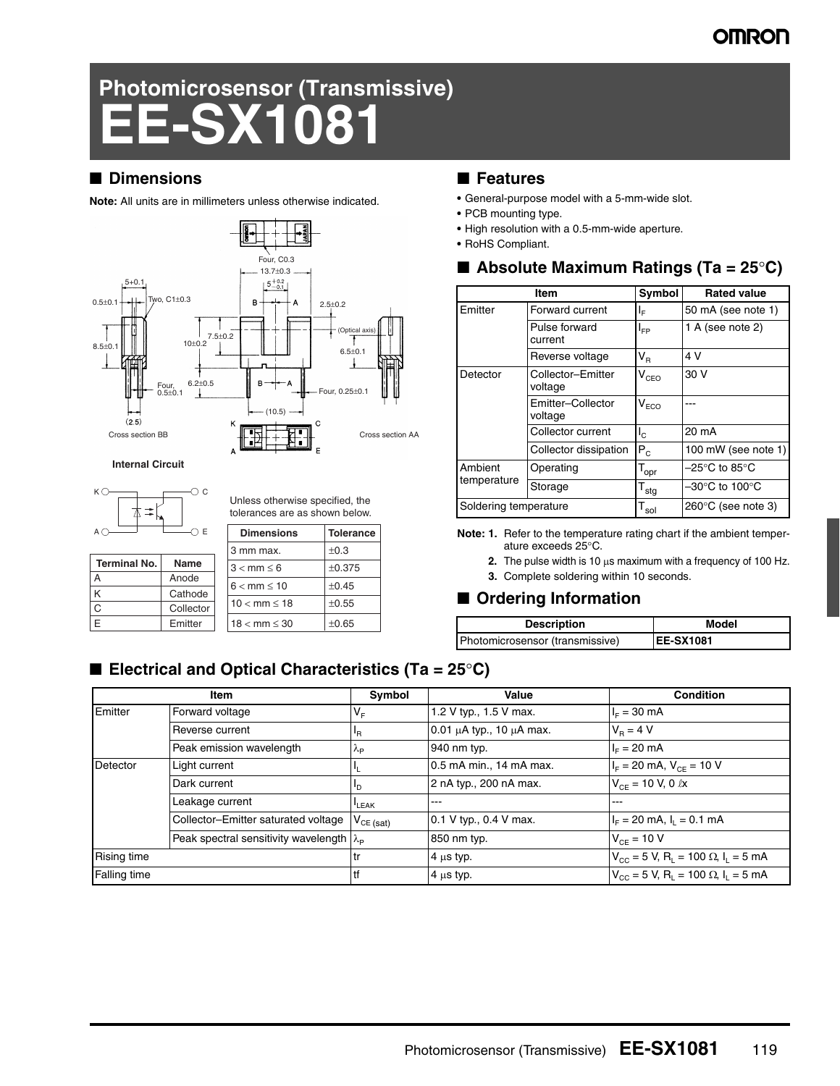### **OMRON**

# **Photomicrosensor (Transmissive) EE-SX1081**

### ■ **Dimensions**

**Note:** All units are in millimeters unless otherwise indicated.



**Internal Circuit**



Unless otherwise specified, the tolerances are as shown below.

| AC                  | ЭE        | <b>Dimensions</b>        | <b>Tolerance</b> |
|---------------------|-----------|--------------------------|------------------|
|                     |           | 3 mm max.                | ±0.3             |
| <b>Terminal No.</b> | Name      | $3 < mm \leq 6$          | ±0.375           |
|                     | Anode     | $6 < mm \leq 10$         | ±0.45            |
| K                   | Cathode   |                          |                  |
| $\mathcal{C}$       | Collector | $10 < mm \le 18$         | $\pm 0.55$       |
|                     | Emitter   | $18 < \text{mm} \leq 30$ | $\pm 0.65$       |

#### ■ **Features**

- **•** General-purpose model with a 5-mm-wide slot.
- **•** PCB mounting type.
- **•** High resolution with a 0.5-mm-wide aperture.
- **•** RoHS Compliant.

### ■ **Absolute Maximum Ratings (Ta = 25°C)**

|                       | Item                         | Symbol                      | <b>Rated value</b>                 |  |  |  |  |  |  |
|-----------------------|------------------------------|-----------------------------|------------------------------------|--|--|--|--|--|--|
| Emitter               | Forward current              | ΙĘ                          | 50 mA (see note 1)                 |  |  |  |  |  |  |
|                       | Pulse forward<br>current     | $I_{FP}$                    | 1 A (see note 2)                   |  |  |  |  |  |  |
|                       | Reverse voltage              | $V_{\rm R}$                 | 4 V                                |  |  |  |  |  |  |
| Detector              | Collector-Emitter<br>voltage | $V_{CEO}$                   | 30 V                               |  |  |  |  |  |  |
|                       | Emitter-Collector<br>voltage | $V_{ECO}$                   |                                    |  |  |  |  |  |  |
|                       | Collector current            | $I_{\odot}$                 | 20 mA                              |  |  |  |  |  |  |
|                       | Collector dissipation        | $P_{C}$                     | 100 mW (see note 1)                |  |  |  |  |  |  |
| Ambient               | Operating                    | $\mathsf{r}_{\mathsf{opr}}$ | $-25^{\circ}$ C to 85 $^{\circ}$ C |  |  |  |  |  |  |
| temperature           | Storage                      | $T_{\text{stg}}$            | –30°C to 100°C                     |  |  |  |  |  |  |
| Soldering temperature |                              | l <sub>sol</sub>            | $260^{\circ}$ C (see note 3)       |  |  |  |  |  |  |

**Note: 1.** Refer to the temperature rating chart if the ambient temperature exceeds 25°C.

- **2.** The pulse width is 10 μs maximum with a frequency of 100 Hz.
- **3.** Complete soldering within 10 seconds.

### ■ **Ordering Information**

| <b>Description</b>              | Model             |
|---------------------------------|-------------------|
| Photomicrosensor (transmissive) | <b>IEE-SX1081</b> |

### ■ **Electrical and Optical Characteristics (Ta = 25**°**C)**

|                    | Item                                                   | Symbol                     | Value                              | <b>Condition</b>                                                             |  |  |  |  |  |
|--------------------|--------------------------------------------------------|----------------------------|------------------------------------|------------------------------------------------------------------------------|--|--|--|--|--|
| Emitter            | Forward voltage                                        | $V_F$                      | 1.2 V typ., 1.5 V max.             | $I_F = 30 \text{ mA}$                                                        |  |  |  |  |  |
|                    | Reverse current                                        | 'R                         | 0.01 $\mu$ A typ., 10 $\mu$ A max. | $V_{\rm B} = 4 V$                                                            |  |  |  |  |  |
|                    | Peak emission wavelength                               | $\mathcal{N}_{\mathsf{P}}$ | 940 nm typ.                        | $I_{E} = 20$ mA                                                              |  |  |  |  |  |
| Detector           | Light current                                          |                            | 0.5 mA min., 14 mA max.            | $I_F$ = 20 mA, $V_{CF}$ = 10 V                                               |  |  |  |  |  |
|                    | Dark current                                           | םי                         | 2 nA typ., 200 nA max.             | $V_{CF}$ = 10 V, 0 $\ell$ x                                                  |  |  |  |  |  |
|                    | Leakage current                                        | LEAK                       | $- - -$                            | ---                                                                          |  |  |  |  |  |
|                    | Collector-Emitter saturated voltage                    | $V_{CE (sat)}$             | 0.1 V typ., 0.4 V max.             | $I_F = 20$ mA, $I_1 = 0.1$ mA                                                |  |  |  |  |  |
|                    | Peak spectral sensitivity wavelength $\lambda_{\rm P}$ |                            | 850 nm typ.                        | $V_{CF} = 10 V$                                                              |  |  |  |  |  |
| <b>Rising time</b> |                                                        |                            | $4 \mu s$ typ.                     | $V_{\text{CC}}$ = 5 V, R <sub>L</sub> = 100 $\Omega$ , I <sub>L</sub> = 5 mA |  |  |  |  |  |
| Falling time       |                                                        |                            | $4 \mu s$ typ.                     | $V_{\text{CC}}$ = 5 V, R <sub>L</sub> = 100 $\Omega$ , I <sub>L</sub> = 5 mA |  |  |  |  |  |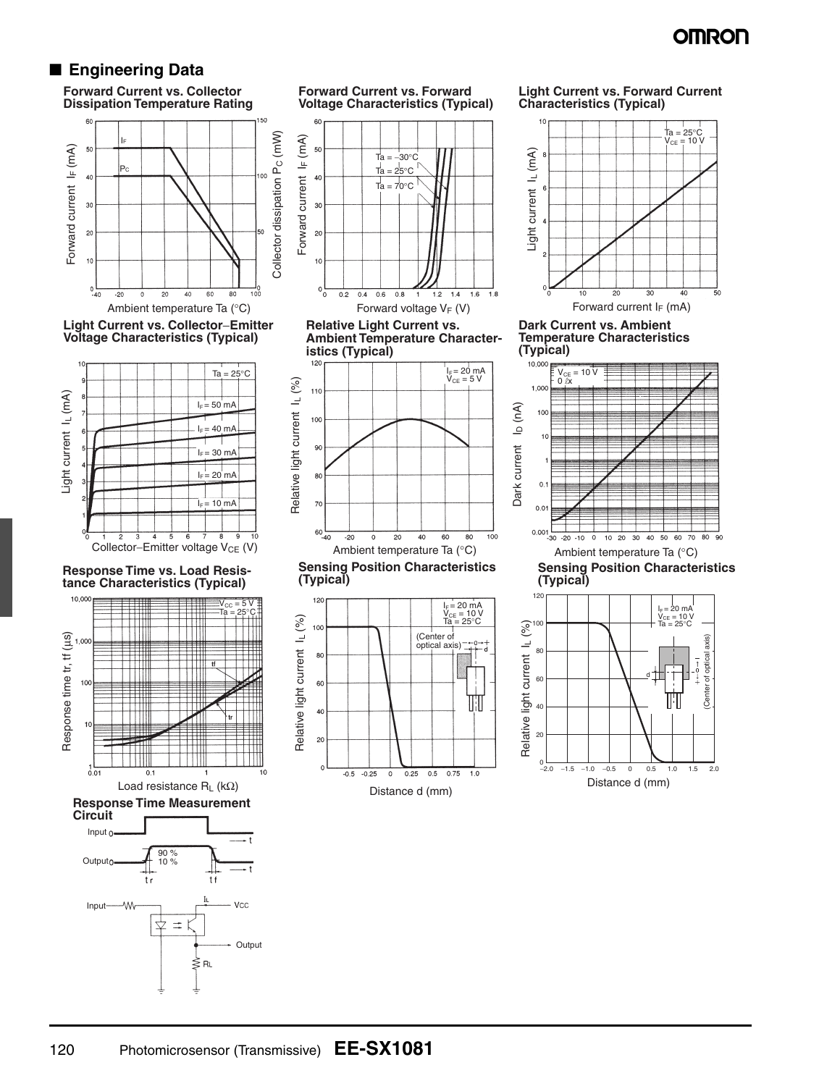### **OMRON**

### ■ **Engineering Data**

**Forward Current vs. Collector Dissipation Temperature Rating**







**Response Time vs. Load Resistance Characteristics (Typical)**









**Relative Light Current vs. Ambient Temperature Characteristics (Typical)**



**Sensing Position Characteristics (Typical)**



**Light Current vs. Forward Current Characteristics (Typical)**



Forward current  $I_F$  (mA)

**Dark Current vs. Ambient Temperature Characteristics (Typical)**



**Sensing Position Characteristics (Typical)**

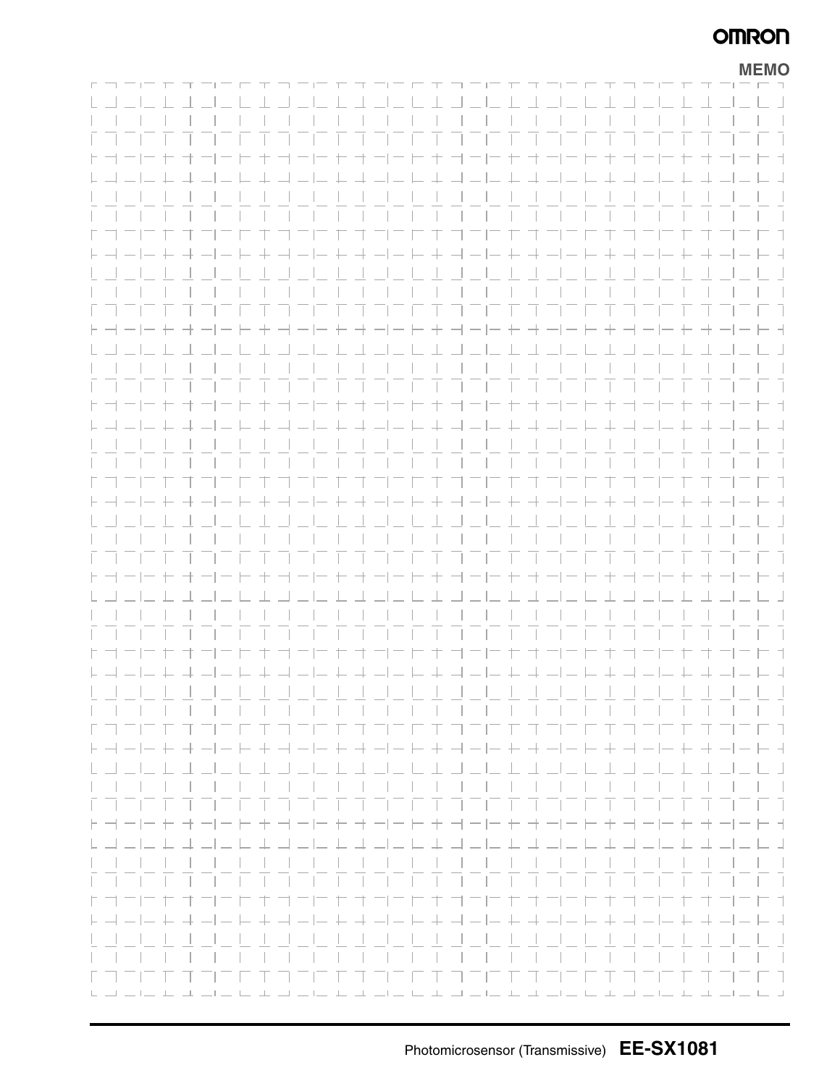### **OMRON**

|  |             |        |                 |  |        |                        |  |                     |                          |  |              |             |                                |                 |                                                              |  |         | <b>MEMO</b>                                                                                                                   |
|--|-------------|--------|-----------------|--|--------|------------------------|--|---------------------|--------------------------|--|--------------|-------------|--------------------------------|-----------------|--------------------------------------------------------------|--|---------|-------------------------------------------------------------------------------------------------------------------------------|
|  |             | エコニエエユ |                 |  | $\top$ |                        |  |                     |                          |  |              |             |                                |                 |                                                              |  |         |                                                                                                                               |
|  |             |        |                 |  |        |                        |  |                     |                          |  |              |             |                                |                 |                                                              |  |         | $\mathcal{L}$                                                                                                                 |
|  |             |        |                 |  |        |                        |  |                     |                          |  |              |             |                                | <b>Contract</b> |                                                              |  |         |                                                                                                                               |
|  |             |        |                 |  |        |                        |  |                     |                          |  |              | $\pm$       | $\pm$                          |                 |                                                              |  |         | - 1                                                                                                                           |
|  |             |        |                 |  |        |                        |  |                     |                          |  |              |             | コーレキョーロキュコーレキュ                 |                 |                                                              |  |         | - 4                                                                                                                           |
|  |             |        |                 |  |        |                        |  |                     |                          |  |              |             | 1 1 1 1 1 1 1 1 1 1 1          |                 |                                                              |  |         | $\mathbf{1}$                                                                                                                  |
|  |             |        |                 |  |        |                        |  |                     |                          |  |              |             |                                |                 |                                                              |  |         | and the contract                                                                                                              |
|  |             |        |                 |  |        |                        |  |                     |                          |  |              |             | F T T T T T T T T T T T T T    |                 |                                                              |  |         | - 1                                                                                                                           |
|  |             |        |                 |  |        |                        |  |                     |                          |  |              |             |                                |                 |                                                              |  |         | ト -- -- - + -- - - + -- - + + -- - + + -- - + + -- - + + -- - + + -- + + -- - + +                                             |
|  |             |        |                 |  |        |                        |  |                     |                          |  |              |             |                                |                 |                                                              |  |         |                                                                                                                               |
|  |             |        |                 |  |        |                        |  |                     |                          |  |              |             |                                |                 |                                                              |  |         | $\mathcal{L}$                                                                                                                 |
|  |             |        |                 |  |        |                        |  |                     |                          |  |              |             | .                              |                 |                                                              |  |         |                                                                                                                               |
|  |             |        |                 |  |        |                        |  |                     |                          |  |              |             |                                |                 |                                                              |  |         | - -                                                                                                                           |
|  |             |        |                 |  |        |                        |  | .                   |                          |  |              | $1 - 1 - 1$ |                                |                 |                                                              |  |         |                                                                                                                               |
|  |             |        |                 |  |        |                        |  |                     |                          |  |              |             |                                |                 |                                                              |  |         | a sa T<br>三百千                                                                                                                 |
|  |             |        |                 |  |        |                        |  |                     |                          |  |              |             |                                |                 |                                                              |  |         | - 1                                                                                                                           |
|  |             |        |                 |  |        |                        |  |                     |                          |  |              |             |                                |                 |                                                              |  |         | - 4                                                                                                                           |
|  |             |        |                 |  |        |                        |  | $1 - 1 - 1 - 1 - 1$ |                          |  |              |             |                                |                 |                                                              |  |         | $\mathbf{1}$                                                                                                                  |
|  |             |        |                 |  |        |                        |  |                     |                          |  |              |             |                                |                 |                                                              |  |         | and the contract                                                                                                              |
|  |             |        |                 |  |        |                        |  |                     |                          |  |              |             | ד חבור היה הור היה היה היה הור |                 |                                                              |  |         | - 1                                                                                                                           |
|  |             |        | トヨートキョートキ       |  |        |                        |  |                     |                          |  |              |             |                                |                 |                                                              |  | $+ + -$ | $  -$                                                                                                                         |
|  |             |        |                 |  |        |                        |  |                     |                          |  |              |             |                                |                 |                                                              |  |         |                                                                                                                               |
|  |             |        |                 |  |        |                        |  |                     |                          |  |              |             |                                |                 |                                                              |  |         |                                                                                                                               |
|  |             |        |                 |  |        |                        |  |                     | <b>Contract Contract</b> |  | $\mathbf{L}$ |             |                                |                 |                                                              |  |         |                                                                                                                               |
|  |             |        |                 |  |        |                        |  |                     |                          |  |              |             |                                |                 |                                                              |  |         | - -                                                                                                                           |
|  |             |        |                 |  |        |                        |  |                     |                          |  |              |             |                                |                 |                                                              |  |         |                                                                                                                               |
|  |             |        |                 |  |        |                        |  | .                   |                          |  |              | $1 - 1 - 1$ |                                |                 |                                                              |  |         | a sa T                                                                                                                        |
|  |             |        |                 |  |        |                        |  |                     |                          |  |              |             |                                |                 |                                                              |  |         |                                                                                                                               |
|  |             |        |                 |  |        |                        |  |                     |                          |  |              |             |                                |                 |                                                              |  |         | - 1                                                                                                                           |
|  |             |        |                 |  |        |                        |  |                     |                          |  |              |             |                                |                 |                                                              |  |         |                                                                                                                               |
|  |             |        |                 |  |        |                        |  |                     |                          |  |              |             | .                              |                 |                                                              |  |         |                                                                                                                               |
|  |             |        |                 |  |        |                        |  |                     |                          |  |              |             | - - - - - - - - - - - - -      |                 |                                                              |  |         | 7 T                                                                                                                           |
|  |             |        |                 |  |        |                        |  |                     |                          |  |              |             |                                |                 |                                                              |  |         | ト ┥ ━ │━ ┾ ┽ ━│━ ┾ ┼ ┥ ━│━ ┾ ┽ ━│━ ┾ ┼ ┥ ━│━ ┾ ┽ ━│━ ┝ ┼ ┥ ━│━ ┾ ┽ ━│━ ┾ ┽ ━│━ ┝ ┥                                            |
|  |             |        |                 |  |        |                        |  |                     |                          |  |              |             |                                |                 |                                                              |  |         | $\perp$                                                                                                                       |
|  |             |        |                 |  |        |                        |  |                     |                          |  |              |             | .                              |                 |                                                              |  |         | $-1$                                                                                                                          |
|  |             |        | ר ד ד ד ד ד ד ד |  |        | ורה החרה החרה החרה החר |  |                     |                          |  |              |             |                                |                 | $\vert \hspace{.08cm} \vert$ $\vert$ $\vert$ $\vert$ $\vert$ |  |         | Ξī                                                                                                                            |
|  | $H - H - H$ |        |                 |  | $\pm$  |                        |  |                     |                          |  |              |             |                                |                 |                                                              |  |         | オーートイ                                                                                                                         |
|  |             |        |                 |  |        |                        |  |                     |                          |  |              |             |                                |                 |                                                              |  |         | $=$ $\Box$                                                                                                                    |
|  |             | .      |                 |  |        |                        |  |                     |                          |  |              |             |                                |                 |                                                              |  |         |                                                                                                                               |
|  |             |        |                 |  |        |                        |  |                     |                          |  |              |             |                                |                 |                                                              |  |         |                                                                                                                               |
|  | トコニロ        |        |                 |  |        |                        |  |                     |                          |  |              |             |                                |                 |                                                              |  |         | ナ ゴービ セ オ ゴービ ナ ゴ ニビ セ オ ゴービ ナ ゴ ニビ セ オ ゴービ す                                                                                 |
|  |             |        |                 |  |        |                        |  |                     |                          |  |              |             |                                |                 |                                                              |  |         |                                                                                                                               |
|  |             |        |                 |  |        |                        |  |                     |                          |  |              |             |                                |                 |                                                              |  |         |                                                                                                                               |
|  |             |        |                 |  |        |                        |  |                     |                          |  |              |             |                                |                 |                                                              |  |         | a sa T                                                                                                                        |
|  | ロコ 三 口      |        |                 |  |        |                        |  |                     |                          |  |              |             | רדת הרדת הרדה ה                |                 |                                                              |  |         | T T<br>المراكب المراكب فلانف المراكب فلربط المناسب فلينفذ فبالمنافذ فالمنافذ فالمنافذ فالمنافذ فالمستقد فلينفذ فبالمنافذ فلرا |
|  |             |        |                 |  |        |                        |  |                     |                          |  |              |             |                                |                 |                                                              |  |         |                                                                                                                               |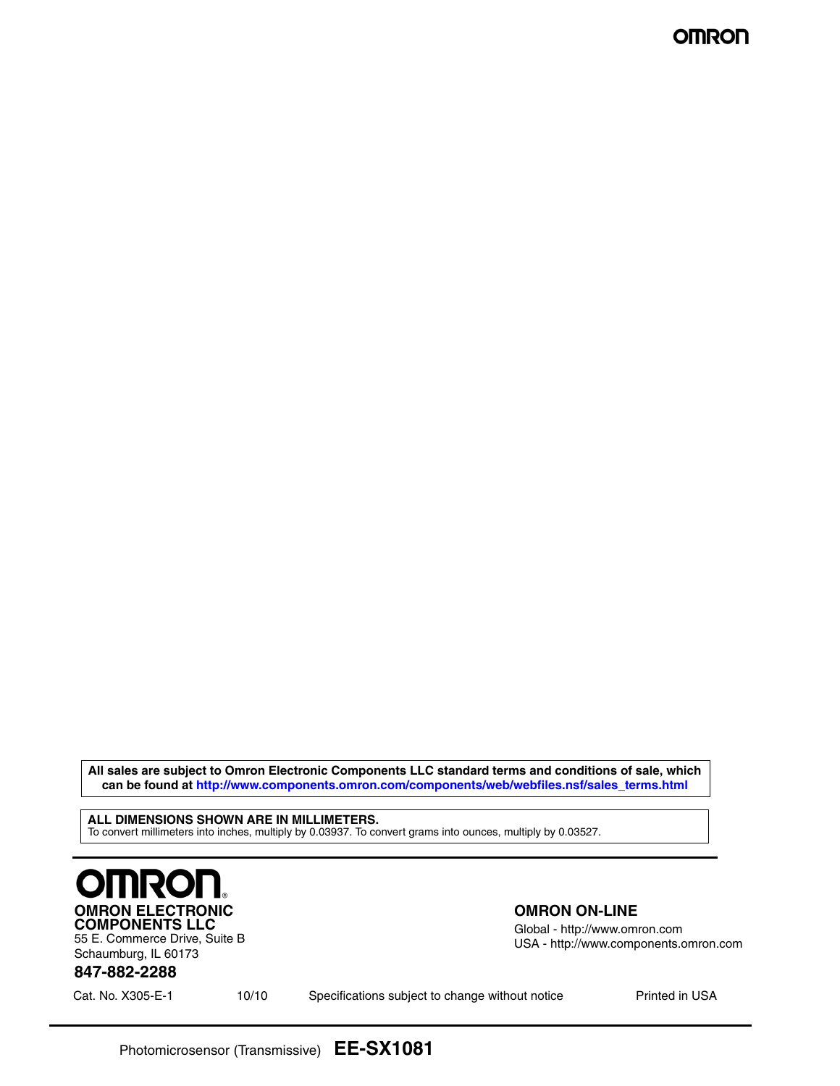**All sales are subject to Omron Electronic Components LLC standard terms and conditions of sale, which can be found at http://www.components.omron.com/components/web/webfiles.nsf/sales\_terms.html**

**ALL DIMENSIONS SHOWN ARE IN MILLIMETERS.** To convert millimeters into inches, multiply by 0.03937. To convert grams into ounces, multiply by 0.03527.



55 E. Commerce Drive, Suite B Schaumburg, IL 60173

#### **OMRON ON-LINE**

Global - http://www.omron.com USA - http://www.components.omron.com

### **847-882-2288**

Cat. No. X305-E-1 **Printed in USA** Specifications subject to change without notice **Printed in USA**